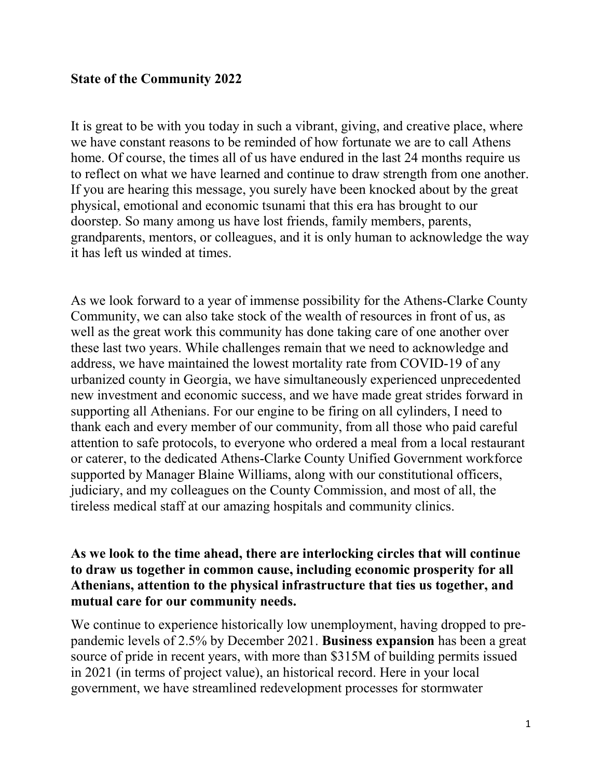## **State of the Community 2022**

It is great to be with you today in such a vibrant, giving, and creative place, where we have constant reasons to be reminded of how fortunate we are to call Athens home. Of course, the times all of us have endured in the last 24 months require us to reflect on what we have learned and continue to draw strength from one another. If you are hearing this message, you surely have been knocked about by the great physical, emotional and economic tsunami that this era has brought to our doorstep. So many among us have lost friends, family members, parents, grandparents, mentors, or colleagues, and it is only human to acknowledge the way it has left us winded at times.

As we look forward to a year of immense possibility for the Athens-Clarke County Community, we can also take stock of the wealth of resources in front of us, as well as the great work this community has done taking care of one another over these last two years. While challenges remain that we need to acknowledge and address, we have maintained the lowest mortality rate from COVID-19 of any urbanized county in Georgia, we have simultaneously experienced unprecedented new investment and economic success, and we have made great strides forward in supporting all Athenians. For our engine to be firing on all cylinders, I need to thank each and every member of our community, from all those who paid careful attention to safe protocols, to everyone who ordered a meal from a local restaurant or caterer, to the dedicated Athens-Clarke County Unified Government workforce supported by Manager Blaine Williams, along with our constitutional officers, judiciary, and my colleagues on the County Commission, and most of all, the tireless medical staff at our amazing hospitals and community clinics.

## **As we look to the time ahead, there are interlocking circles that will continue to draw us together in common cause, including economic prosperity for all Athenians, attention to the physical infrastructure that ties us together, and mutual care for our community needs.**

We continue to experience historically low unemployment, having dropped to prepandemic levels of 2.5% by December 2021. **Business expansion** has been a great source of pride in recent years, with more than \$315M of building permits issued in 2021 (in terms of project value), an historical record. Here in your local government, we have streamlined redevelopment processes for stormwater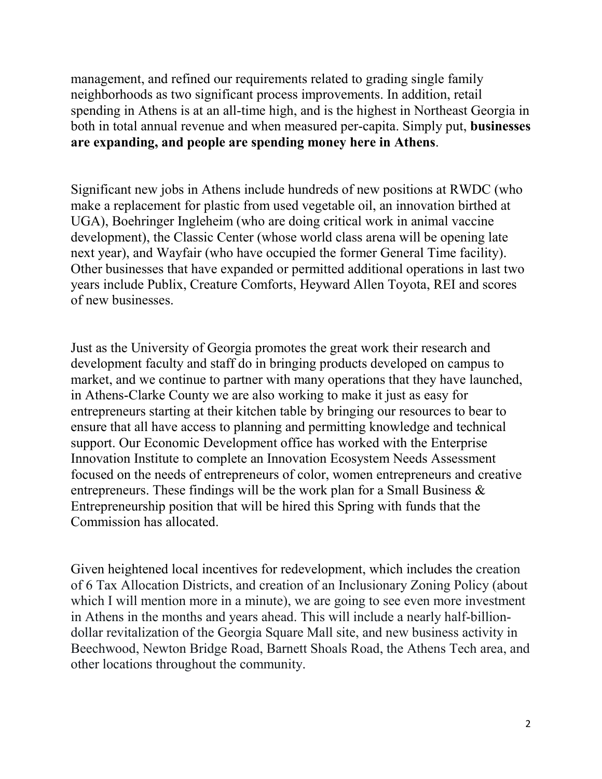management, and refined our requirements related to grading single family neighborhoods as two significant process improvements. In addition, retail spending in Athens is at an all-time high, and is the highest in Northeast Georgia in both in total annual revenue and when measured per-capita. Simply put, **businesses are expanding, and people are spending money here in Athens**.

Significant new jobs in Athens include hundreds of new positions at RWDC (who make a replacement for plastic from used vegetable oil, an innovation birthed at UGA), Boehringer Ingleheim (who are doing critical work in animal vaccine development), the Classic Center (whose world class arena will be opening late next year), and Wayfair (who have occupied the former General Time facility). Other businesses that have expanded or permitted additional operations in last two years include Publix, Creature Comforts, Heyward Allen Toyota, REI and scores of new businesses.

Just as the University of Georgia promotes the great work their research and development faculty and staff do in bringing products developed on campus to market, and we continue to partner with many operations that they have launched, in Athens-Clarke County we are also working to make it just as easy for entrepreneurs starting at their kitchen table by bringing our resources to bear to ensure that all have access to planning and permitting knowledge and technical support. Our Economic Development office has worked with the Enterprise Innovation Institute to complete an Innovation Ecosystem Needs Assessment focused on the needs of entrepreneurs of color, women entrepreneurs and creative entrepreneurs. These findings will be the work plan for a Small Business & Entrepreneurship position that will be hired this Spring with funds that the Commission has allocated.

Given heightened local incentives for redevelopment, which includes the creation of 6 Tax Allocation Districts, and creation of an Inclusionary Zoning Policy (about which I will mention more in a minute), we are going to see even more investment in Athens in the months and years ahead. This will include a nearly half-billiondollar revitalization of the Georgia Square Mall site, and new business activity in Beechwood, Newton Bridge Road, Barnett Shoals Road, the Athens Tech area, and other locations throughout the community.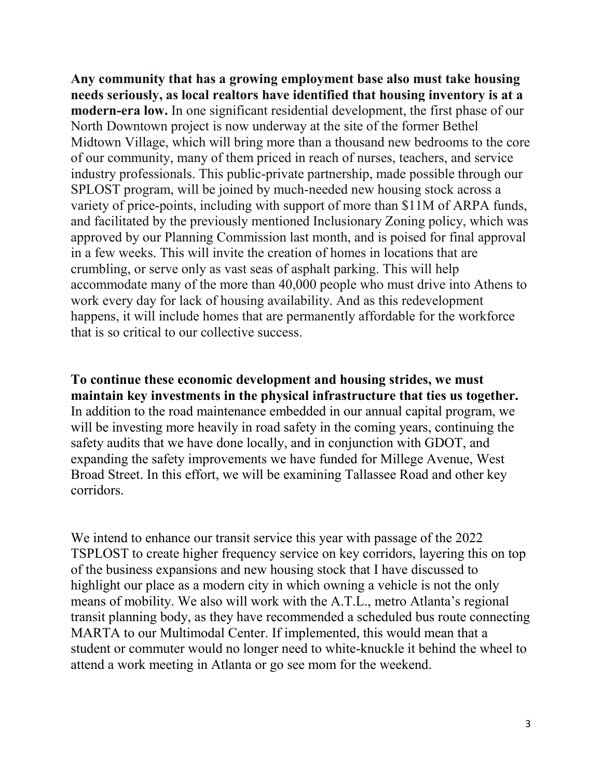**Any community that has a growing employment base also must take housing needs seriously, as local realtors have identified that housing inventory is at a modern-era low.** In one significant residential development, the first phase of our North Downtown project is now underway at the site of the former Bethel Midtown Village, which will bring more than a thousand new bedrooms to the core of our community, many of them priced in reach of nurses, teachers, and service industry professionals. This public-private partnership, made possible through our SPLOST program, will be joined by much-needed new housing stock across a variety of price-points, including with support of more than \$11M of ARPA funds, and facilitated by the previously mentioned Inclusionary Zoning policy, which was approved by our Planning Commission last month, and is poised for final approval in a few weeks. This will invite the creation of homes in locations that are crumbling, or serve only as vast seas of asphalt parking. This will help accommodate many of the more than 40,000 people who must drive into Athens to work every day for lack of housing availability. And as this redevelopment happens, it will include homes that are permanently affordable for the workforce that is so critical to our collective success.

**To continue these economic development and housing strides, we must maintain key investments in the physical infrastructure that ties us together.**  In addition to the road maintenance embedded in our annual capital program, we will be investing more heavily in road safety in the coming years, continuing the safety audits that we have done locally, and in conjunction with GDOT, and expanding the safety improvements we have funded for Millege Avenue, West Broad Street. In this effort, we will be examining Tallassee Road and other key corridors.

We intend to enhance our transit service this year with passage of the 2022 TSPLOST to create higher frequency service on key corridors, layering this on top of the business expansions and new housing stock that I have discussed to highlight our place as a modern city in which owning a vehicle is not the only means of mobility. We also will work with the A.T.L., metro Atlanta's regional transit planning body, as they have recommended a scheduled bus route connecting MARTA to our Multimodal Center. If implemented, this would mean that a student or commuter would no longer need to white-knuckle it behind the wheel to attend a work meeting in Atlanta or go see mom for the weekend.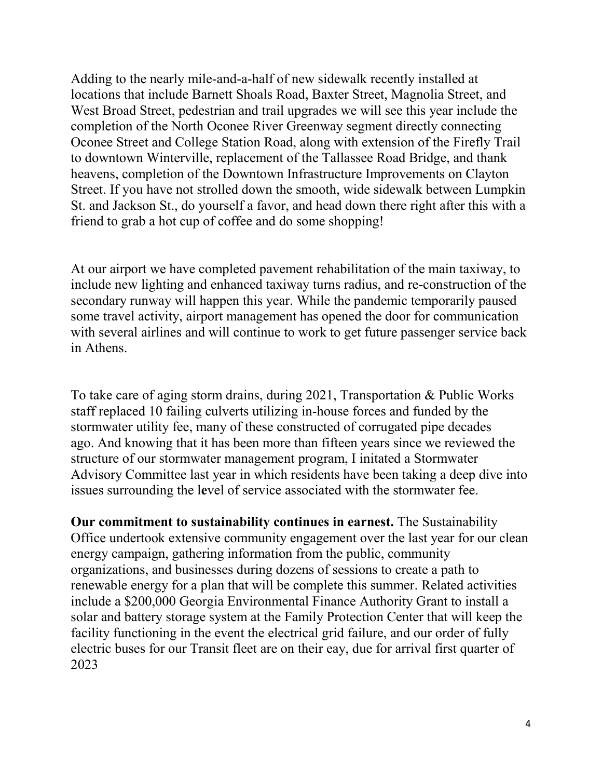Adding to the nearly mile-and-a-half of new sidewalk recently installed at locations that include Barnett Shoals Road, Baxter Street, Magnolia Street, and West Broad Street, pedestrian and trail upgrades we will see this year include the completion of the North Oconee River Greenway segment directly connecting Oconee Street and College Station Road, along with extension of the Firefly Trail to downtown Winterville, replacement of the Tallassee Road Bridge, and thank heavens, completion of the Downtown Infrastructure Improvements on Clayton Street. If you have not strolled down the smooth, wide sidewalk between Lumpkin St. and Jackson St., do yourself a favor, and head down there right after this with a friend to grab a hot cup of coffee and do some shopping!

At our airport we have completed pavement rehabilitation of the main taxiway, to include new lighting and enhanced taxiway turns radius, and re-construction of the secondary runway will happen this year. While the pandemic temporarily paused some travel activity, airport management has opened the door for communication with several airlines and will continue to work to get future passenger service back in Athens.

To take care of aging storm drains, during 2021, Transportation & Public Works staff replaced 10 failing culverts utilizing in-house forces and funded by the stormwater utility fee, many of these constructed of corrugated pipe decades ago. And knowing that it has been more than fifteen years since we reviewed the structure of our stormwater management program, I initated a Stormwater Advisory Committee last year in which residents have been taking a deep dive into issues surrounding the l**e**vel of service associated with the stormwater fee.

**Our commitment to sustainability continues in earnest.** The Sustainability Office undertook extensive community engagement over the last year for our clean energy campaign, gathering information from the public, community organizations, and businesses during dozens of sessions to create a path to renewable energy for a plan that will be complete this summer. Related activities include a \$200,000 Georgia Environmental Finance Authority Grant to install a solar and battery storage system at the Family Protection Center that will keep the facility functioning in the event the electrical grid failure, and our order of fully electric buses for our Transit fleet are on their eay, due for arrival first quarter of 2023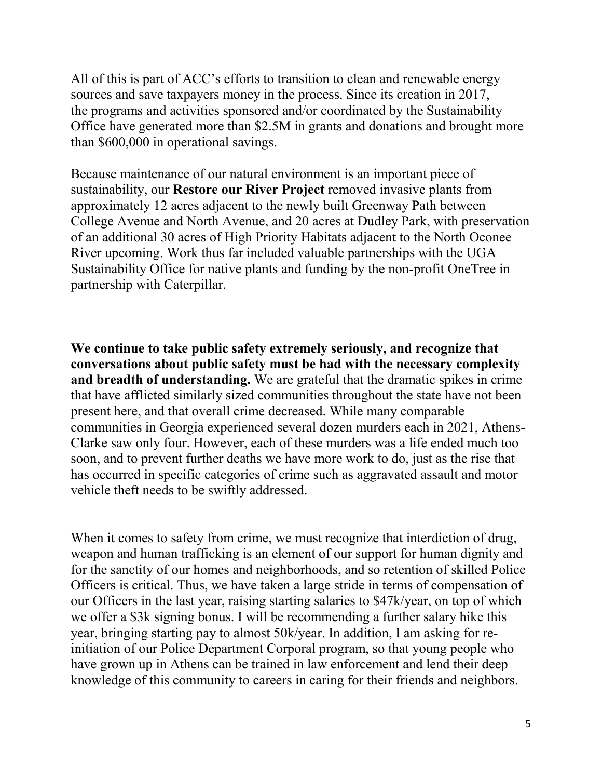All of this is part of ACC's efforts to transition to clean and renewable energy sources and save taxpayers money in the process. Since its creation in 2017, the programs and activities sponsored and/or coordinated by the Sustainability Office have generated more than \$2.5M in grants and donations and brought more than \$600,000 in operational savings.

Because maintenance of our natural environment is an important piece of sustainability, our **Restore our River Project** removed invasive plants from approximately 12 acres adjacent to the newly built Greenway Path between College Avenue and North Avenue, and 20 acres at Dudley Park, with preservation of an additional 30 acres of High Priority Habitats adjacent to the North Oconee River upcoming. Work thus far included valuable partnerships with the UGA Sustainability Office for native plants and funding by the non-profit OneTree in partnership with Caterpillar.

**We continue to take public safety extremely seriously, and recognize that conversations about public safety must be had with the necessary complexity and breadth of understanding.** We are grateful that the dramatic spikes in crime that have afflicted similarly sized communities throughout the state have not been present here, and that overall crime decreased. While many comparable communities in Georgia experienced several dozen murders each in 2021, Athens-Clarke saw only four. However, each of these murders was a life ended much too soon, and to prevent further deaths we have more work to do, just as the rise that has occurred in specific categories of crime such as aggravated assault and motor vehicle theft needs to be swiftly addressed.

When it comes to safety from crime, we must recognize that interdiction of drug, weapon and human trafficking is an element of our support for human dignity and for the sanctity of our homes and neighborhoods, and so retention of skilled Police Officers is critical. Thus, we have taken a large stride in terms of compensation of our Officers in the last year, raising starting salaries to \$47k/year, on top of which we offer a \$3k signing bonus. I will be recommending a further salary hike this year, bringing starting pay to almost 50k/year. In addition, I am asking for reinitiation of our Police Department Corporal program, so that young people who have grown up in Athens can be trained in law enforcement and lend their deep knowledge of this community to careers in caring for their friends and neighbors.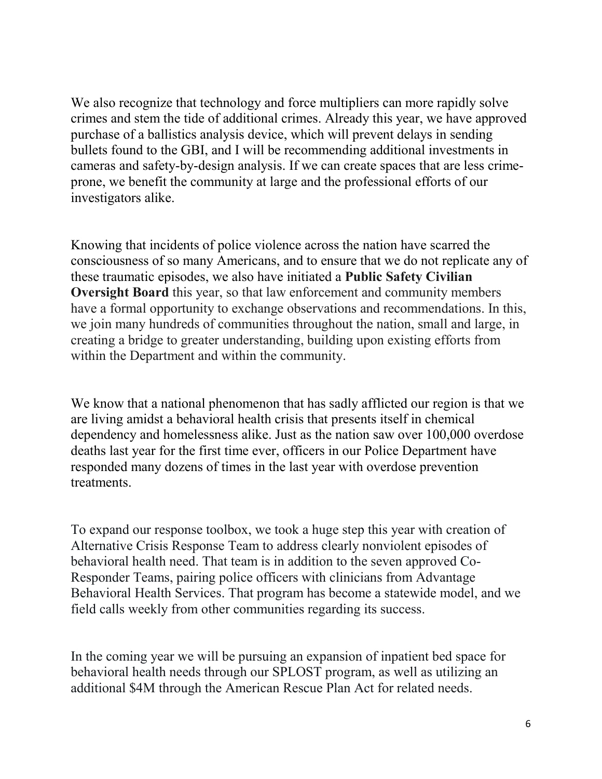We also recognize that technology and force multipliers can more rapidly solve crimes and stem the tide of additional crimes. Already this year, we have approved purchase of a ballistics analysis device, which will prevent delays in sending bullets found to the GBI, and I will be recommending additional investments in cameras and safety-by-design analysis. If we can create spaces that are less crimeprone, we benefit the community at large and the professional efforts of our investigators alike.

Knowing that incidents of police violence across the nation have scarred the consciousness of so many Americans, and to ensure that we do not replicate any of these traumatic episodes, we also have initiated a **Public Safety Civilian Oversight Board** this year, so that law enforcement and community members have a formal opportunity to exchange observations and recommendations. In this, we join many hundreds of communities throughout the nation, small and large, in creating a bridge to greater understanding, building upon existing efforts from within the Department and within the community.

We know that a national phenomenon that has sadly afflicted our region is that we are living amidst a behavioral health crisis that presents itself in chemical dependency and homelessness alike. Just as the nation saw over 100,000 overdose deaths last year for the first time ever, officers in our Police Department have responded many dozens of times in the last year with overdose prevention treatments.

To expand our response toolbox, we took a huge step this year with creation of Alternative Crisis Response Team to address clearly nonviolent episodes of behavioral health need. That team is in addition to the seven approved Co-Responder Teams, pairing police officers with clinicians from Advantage Behavioral Health Services. That program has become a statewide model, and we field calls weekly from other communities regarding its success.

In the coming year we will be pursuing an expansion of inpatient bed space for behavioral health needs through our SPLOST program, as well as utilizing an additional \$4M through the American Rescue Plan Act for related needs.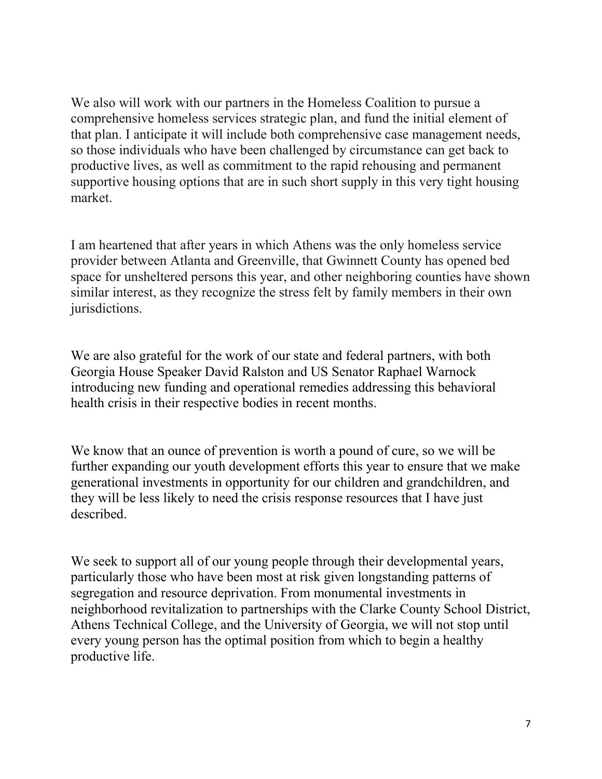We also will work with our partners in the Homeless Coalition to pursue a comprehensive homeless services strategic plan, and fund the initial element of that plan. I anticipate it will include both comprehensive case management needs, so those individuals who have been challenged by circumstance can get back to productive lives, as well as commitment to the rapid rehousing and permanent supportive housing options that are in such short supply in this very tight housing market.

I am heartened that after years in which Athens was the only homeless service provider between Atlanta and Greenville, that Gwinnett County has opened bed space for unsheltered persons this year, and other neighboring counties have shown similar interest, as they recognize the stress felt by family members in their own jurisdictions.

We are also grateful for the work of our state and federal partners, with both Georgia House Speaker David Ralston and US Senator Raphael Warnock introducing new funding and operational remedies addressing this behavioral health crisis in their respective bodies in recent months.

We know that an ounce of prevention is worth a pound of cure, so we will be further expanding our youth development efforts this year to ensure that we make generational investments in opportunity for our children and grandchildren, and they will be less likely to need the crisis response resources that I have just described.

We seek to support all of our young people through their developmental years, particularly those who have been most at risk given longstanding patterns of segregation and resource deprivation. From monumental investments in neighborhood revitalization to partnerships with the Clarke County School District, Athens Technical College, and the University of Georgia, we will not stop until every young person has the optimal position from which to begin a healthy productive life.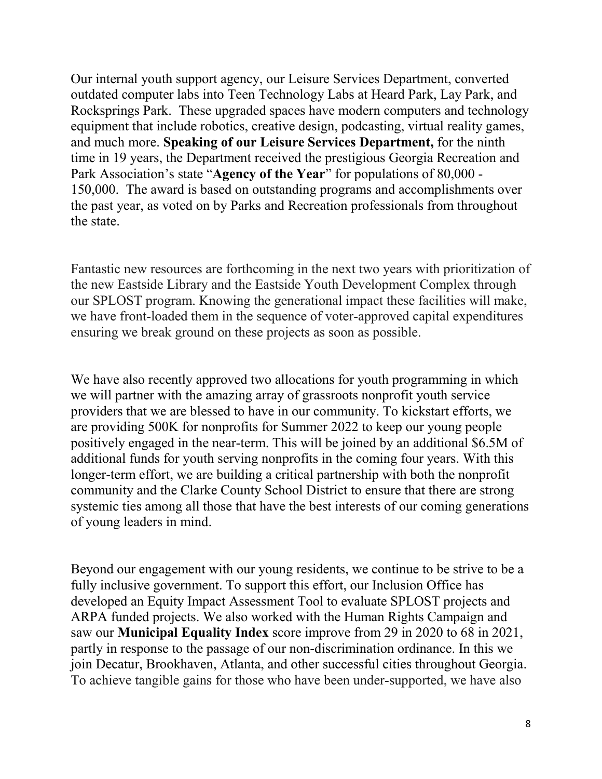Our internal youth support agency, our Leisure Services Department, converted outdated computer labs into Teen Technology Labs at Heard Park, Lay Park, and Rocksprings Park. These upgraded spaces have modern computers and technology equipment that include robotics, creative design, podcasting, virtual reality games, and much more. **Speaking of our Leisure Services Department,** for the ninth time in 19 years, the Department received the prestigious Georgia Recreation and Park Association's state "**Agency of the Year**" for populations of 80,000 - 150,000. The award is based on outstanding programs and accomplishments over the past year, as voted on by Parks and Recreation professionals from throughout the state.

Fantastic new resources are forthcoming in the next two years with prioritization of the new Eastside Library and the Eastside Youth Development Complex through our SPLOST program. Knowing the generational impact these facilities will make, we have front-loaded them in the sequence of voter-approved capital expenditures ensuring we break ground on these projects as soon as possible.

We have also recently approved two allocations for youth programming in which we will partner with the amazing array of grassroots nonprofit youth service providers that we are blessed to have in our community. To kickstart efforts, we are providing 500K for nonprofits for Summer 2022 to keep our young people positively engaged in the near-term. This will be joined by an additional \$6.5M of additional funds for youth serving nonprofits in the coming four years. With this longer-term effort, we are building a critical partnership with both the nonprofit community and the Clarke County School District to ensure that there are strong systemic ties among all those that have the best interests of our coming generations of young leaders in mind.

Beyond our engagement with our young residents, we continue to be strive to be a fully inclusive government. To support this effort, our Inclusion Office has developed an Equity Impact Assessment Tool to evaluate SPLOST projects and ARPA funded projects. We also worked with the Human Rights Campaign and saw our **Municipal Equality Index** score improve from 29 in 2020 to 68 in 2021, partly in response to the passage of our non-discrimination ordinance. In this we join Decatur, Brookhaven, Atlanta, and other successful cities throughout Georgia. To achieve tangible gains for those who have been under-supported, we have also